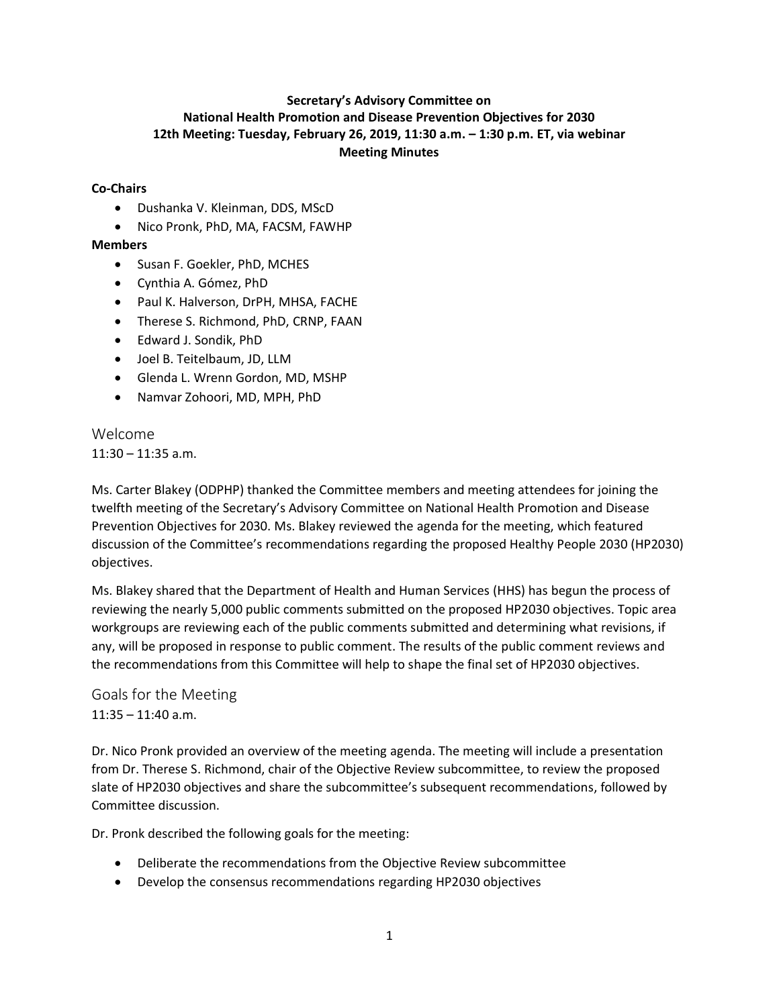# **Secretary's Advisory Committee on National Health Promotion and Disease Prevention Objectives for 2030 12th Meeting: Tuesday, February 26, 2019, 11:30 a.m. – 1:30 p.m. ET, via webinar Meeting Minutes**

# **Co-Chairs**

- Dushanka V. Kleinman, DDS, MScD
- Nico Pronk, PhD, MA, FACSM, FAWHP

# **Members**

- Susan F. Goekler, PhD, MCHES
- Cynthia A. Gómez, PhD
- Paul K. Halverson, DrPH, MHSA, FACHE
- Therese S. Richmond, PhD, CRNP, FAAN
- Edward J. Sondik, PhD
- Joel B. Teitelbaum, JD, LLM
- Glenda L. Wrenn Gordon, MD, MSHP
- Namvar Zohoori, MD, MPH, PhD

Welcome  $11:30 - 11:35$  a.m.

Ms. Carter Blakey (ODPHP) thanked the Committee members and meeting attendees for joining the twelfth meeting of the Secretary's Advisory Committee on National Health Promotion and Disease Prevention Objectives for 2030. Ms. Blakey reviewed the agenda for the meeting, which featured discussion of the Committee's recommendations regarding the proposed Healthy People 2030 (HP2030) objectives.

Ms. Blakey shared that the Department of Health and Human Services (HHS) has begun the process of reviewing the nearly 5,000 public comments submitted on the proposed HP2030 objectives. Topic area workgroups are reviewing each of the public comments submitted and determining what revisions, if any, will be proposed in response to public comment. The results of the public comment reviews and the recommendations from this Committee will help to shape the final set of HP2030 objectives.

Goals for the Meeting 11:35 – 11:40 a.m.

Dr. Nico Pronk provided an overview of the meeting agenda. The meeting will include a presentation from Dr. Therese S. Richmond, chair of the Objective Review subcommittee, to review the proposed slate of HP2030 objectives and share the subcommittee's subsequent recommendations, followed by Committee discussion.

Dr. Pronk described the following goals for the meeting:

- Deliberate the recommendations from the Objective Review subcommittee
- Develop the consensus recommendations regarding HP2030 objectives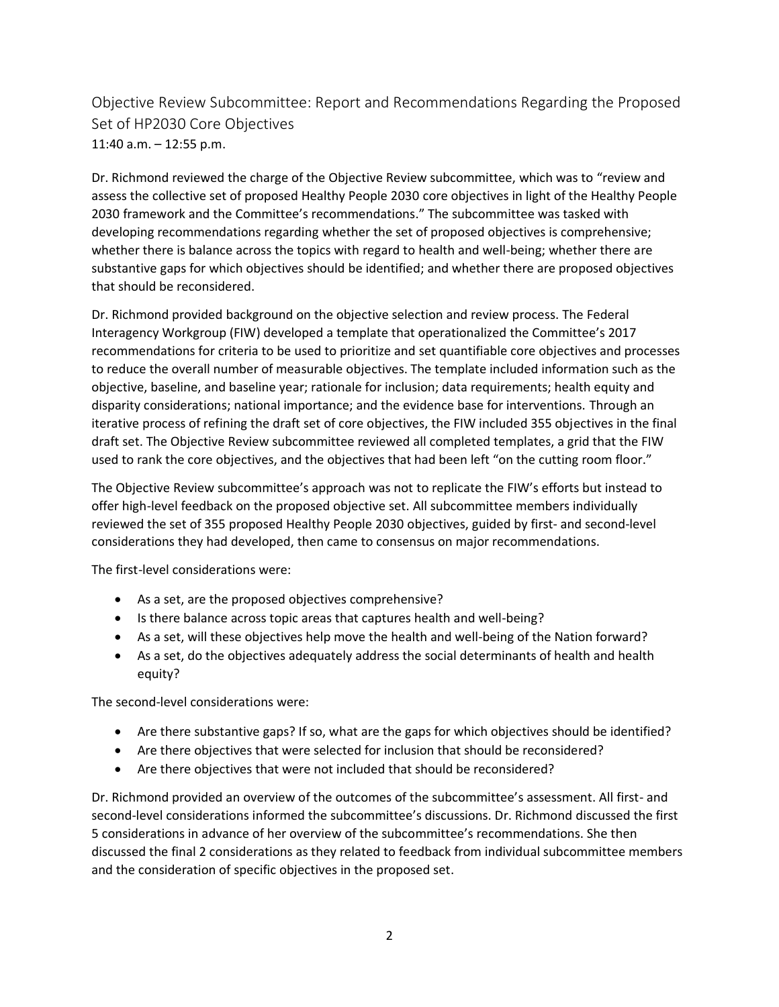Objective Review Subcommittee: Report and Recommendations Regarding the Proposed Set of HP2030 Core Objectives 11:40 a.m. – 12:55 p.m.

Dr. Richmond reviewed the charge of the Objective Review subcommittee, which was to "review and assess the collective set of proposed Healthy People 2030 core objectives in light of the Healthy People 2030 framework and the Committee's recommendations." The subcommittee was tasked with developing recommendations regarding whether the set of proposed objectives is comprehensive; whether there is balance across the topics with regard to health and well-being; whether there are substantive gaps for which objectives should be identified; and whether there are proposed objectives that should be reconsidered.

Dr. Richmond provided background on the objective selection and review process. The Federal Interagency Workgroup (FIW) developed a template that operationalized the Committee's 2017 recommendations for criteria to be used to prioritize and set quantifiable core objectives and processes to reduce the overall number of measurable objectives. The template included information such as the objective, baseline, and baseline year; rationale for inclusion; data requirements; health equity and disparity considerations; national importance; and the evidence base for interventions. Through an iterative process of refining the draft set of core objectives, the FIW included 355 objectives in the final draft set. The Objective Review subcommittee reviewed all completed templates, a grid that the FIW used to rank the core objectives, and the objectives that had been left "on the cutting room floor."

The Objective Review subcommittee's approach was not to replicate the FIW's efforts but instead to offer high-level feedback on the proposed objective set. All subcommittee members individually reviewed the set of 355 proposed Healthy People 2030 objectives, guided by first- and second-level considerations they had developed, then came to consensus on major recommendations.

The first-level considerations were:

- As a set, are the proposed objectives comprehensive?
- Is there balance across topic areas that captures health and well-being?
- As a set, will these objectives help move the health and well-being of the Nation forward?
- As a set, do the objectives adequately address the social determinants of health and health equity?

The second-level considerations were:

- Are there substantive gaps? If so, what are the gaps for which objectives should be identified?
- Are there objectives that were selected for inclusion that should be reconsidered?
- Are there objectives that were not included that should be reconsidered?

Dr. Richmond provided an overview of the outcomes of the subcommittee's assessment. All first- and second-level considerations informed the subcommittee's discussions. Dr. Richmond discussed the first 5 considerations in advance of her overview of the subcommittee's recommendations. She then discussed the final 2 considerations as they related to feedback from individual subcommittee members and the consideration of specific objectives in the proposed set.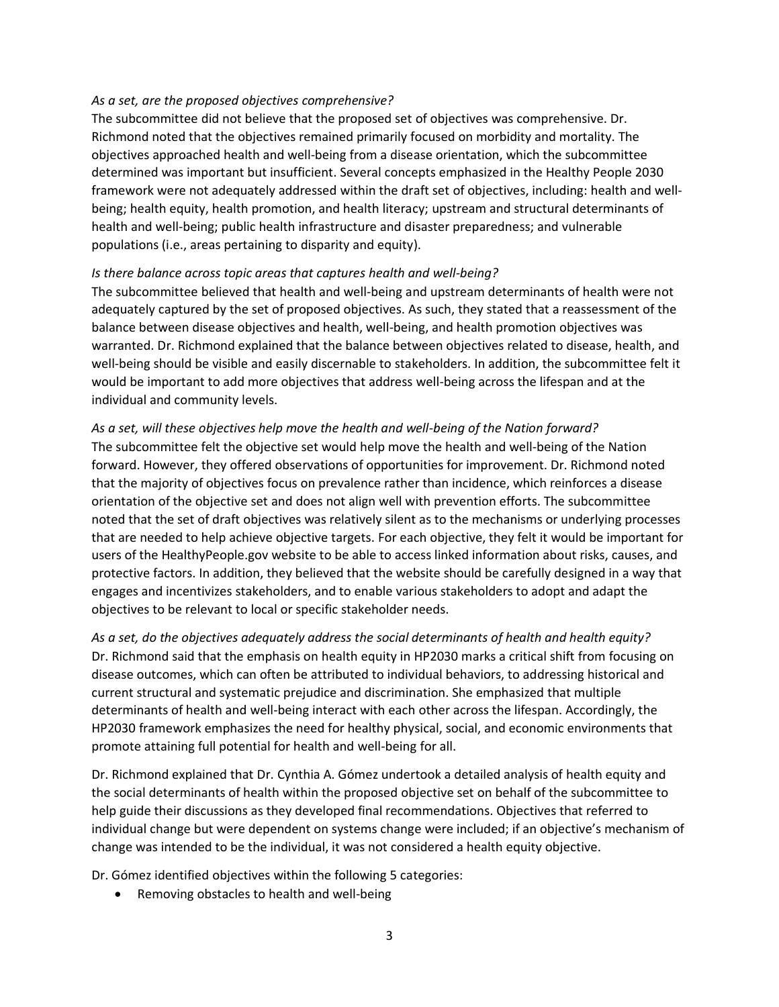#### *As a set, are the proposed objectives comprehensive?*

The subcommittee did not believe that the proposed set of objectives was comprehensive. Dr. Richmond noted that the objectives remained primarily focused on morbidity and mortality. The objectives approached health and well-being from a disease orientation, which the subcommittee determined was important but insufficient. Several concepts emphasized in the Healthy People 2030 framework were not adequately addressed within the draft set of objectives, including: health and wellbeing; health equity, health promotion, and health literacy; upstream and structural determinants of health and well-being; public health infrastructure and disaster preparedness; and vulnerable populations (i.e., areas pertaining to disparity and equity).

#### *Is there balance across topic areas that captures health and well-being?*

The subcommittee believed that health and well-being and upstream determinants of health were not adequately captured by the set of proposed objectives. As such, they stated that a reassessment of the balance between disease objectives and health, well-being, and health promotion objectives was warranted. Dr. Richmond explained that the balance between objectives related to disease, health, and well-being should be visible and easily discernable to stakeholders. In addition, the subcommittee felt it would be important to add more objectives that address well-being across the lifespan and at the individual and community levels.

# *As a set, will these objectives help move the health and well-being of the Nation forward?*

The subcommittee felt the objective set would help move the health and well-being of the Nation forward. However, they offered observations of opportunities for improvement. Dr. Richmond noted that the majority of objectives focus on prevalence rather than incidence, which reinforces a disease orientation of the objective set and does not align well with prevention efforts. The subcommittee noted that the set of draft objectives was relatively silent as to the mechanisms or underlying processes that are needed to help achieve objective targets. For each objective, they felt it would be important for users of the HealthyPeople.gov website to be able to access linked information about risks, causes, and protective factors. In addition, they believed that the website should be carefully designed in a way that engages and incentivizes stakeholders, and to enable various stakeholders to adopt and adapt the objectives to be relevant to local or specific stakeholder needs.

*As a set, do the objectives adequately address the social determinants of health and health equity?* Dr. Richmond said that the emphasis on health equity in HP2030 marks a critical shift from focusing on disease outcomes, which can often be attributed to individual behaviors, to addressing historical and current structural and systematic prejudice and discrimination. She emphasized that multiple determinants of health and well-being interact with each other across the lifespan. Accordingly, the HP2030 framework emphasizes the need for healthy physical, social, and economic environments that promote attaining full potential for health and well-being for all.

Dr. Richmond explained that Dr. Cynthia A. Gómez undertook a detailed analysis of health equity and the social determinants of health within the proposed objective set on behalf of the subcommittee to help guide their discussions as they developed final recommendations. Objectives that referred to individual change but were dependent on systems change were included; if an objective's mechanism of change was intended to be the individual, it was not considered a health equity objective.

Dr. Gómez identified objectives within the following 5 categories:

• Removing obstacles to health and well-being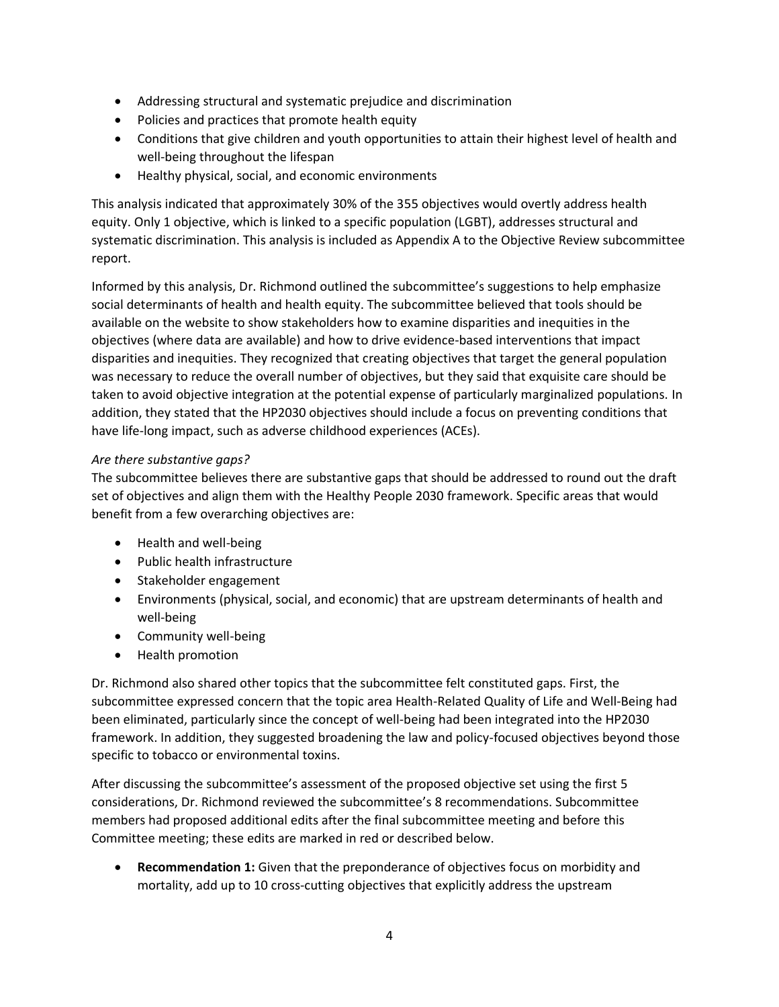- Addressing structural and systematic prejudice and discrimination
- Policies and practices that promote health equity
- Conditions that give children and youth opportunities to attain their highest level of health and well-being throughout the lifespan
- Healthy physical, social, and economic environments

This analysis indicated that approximately 30% of the 355 objectives would overtly address health equity. Only 1 objective, which is linked to a specific population (LGBT), addresses structural and systematic discrimination. This analysis is included as Appendix A to the Objective Review subcommittee report.

Informed by this analysis, Dr. Richmond outlined the subcommittee's suggestions to help emphasize social determinants of health and health equity. The subcommittee believed that tools should be available on the website to show stakeholders how to examine disparities and inequities in the objectives (where data are available) and how to drive evidence-based interventions that impact disparities and inequities. They recognized that creating objectives that target the general population was necessary to reduce the overall number of objectives, but they said that exquisite care should be taken to avoid objective integration at the potential expense of particularly marginalized populations. In addition, they stated that the HP2030 objectives should include a focus on preventing conditions that have life-long impact, such as adverse childhood experiences (ACEs).

# *Are there substantive gaps?*

The subcommittee believes there are substantive gaps that should be addressed to round out the draft set of objectives and align them with the Healthy People 2030 framework. Specific areas that would benefit from a few overarching objectives are:

- Health and well-being
- Public health infrastructure
- Stakeholder engagement
- Environments (physical, social, and economic) that are upstream determinants of health and well-being
- Community well-being
- Health promotion

Dr. Richmond also shared other topics that the subcommittee felt constituted gaps. First, the subcommittee expressed concern that the topic area Health-Related Quality of Life and Well-Being had been eliminated, particularly since the concept of well-being had been integrated into the HP2030 framework. In addition, they suggested broadening the law and policy-focused objectives beyond those specific to tobacco or environmental toxins.

After discussing the subcommittee's assessment of the proposed objective set using the first 5 considerations, Dr. Richmond reviewed the subcommittee's 8 recommendations. Subcommittee members had proposed additional edits after the final subcommittee meeting and before this Committee meeting; these edits are marked in red or described below.

• **Recommendation 1:** Given that the preponderance of objectives focus on morbidity and mortality, add up to 10 cross-cutting objectives that explicitly address the upstream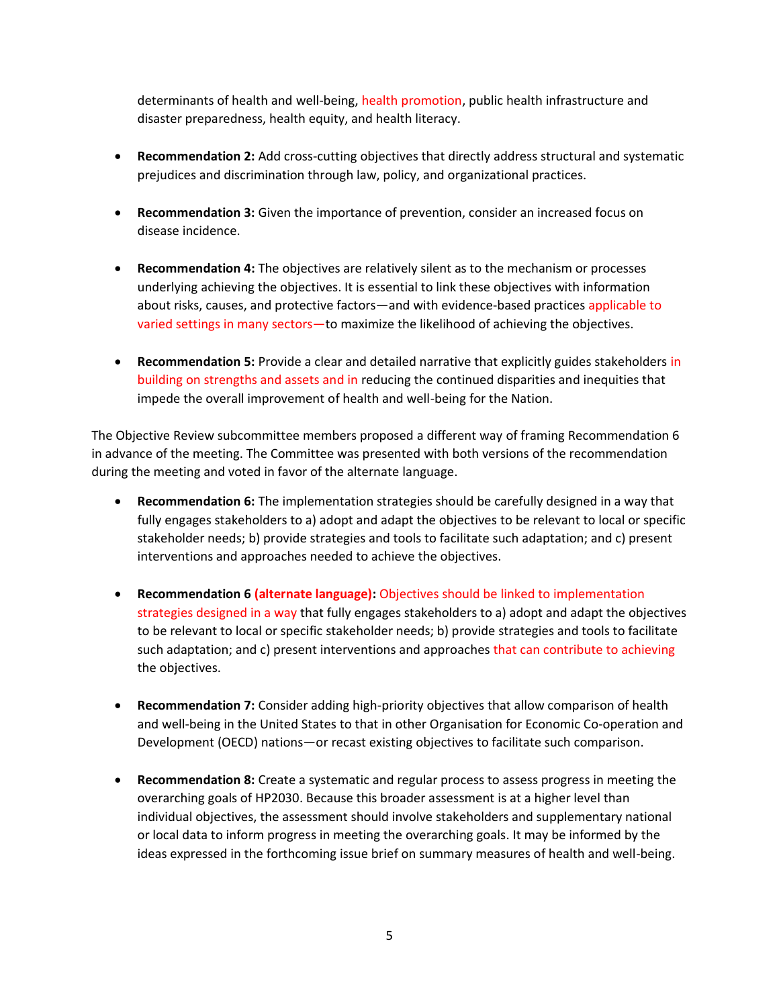determinants of health and well-being, health promotion, public health infrastructure and disaster preparedness, health equity, and health literacy.

- **Recommendation 2:** Add cross-cutting objectives that directly address structural and systematic prejudices and discrimination through law, policy, and organizational practices.
- **Recommendation 3:** Given the importance of prevention, consider an increased focus on disease incidence.
- **Recommendation 4:** The objectives are relatively silent as to the mechanism or processes underlying achieving the objectives. It is essential to link these objectives with information about risks, causes, and protective factors—and with evidence-based practices applicable to varied settings in many sectors—to maximize the likelihood of achieving the objectives.
- **Recommendation 5:** Provide a clear and detailed narrative that explicitly guides stakeholders in building on strengths and assets and in reducing the continued disparities and inequities that impede the overall improvement of health and well-being for the Nation.

The Objective Review subcommittee members proposed a different way of framing Recommendation 6 in advance of the meeting. The Committee was presented with both versions of the recommendation during the meeting and voted in favor of the alternate language.

- **Recommendation 6:** The implementation strategies should be carefully designed in a way that fully engages stakeholders to a) adopt and adapt the objectives to be relevant to local or specific stakeholder needs; b) provide strategies and tools to facilitate such adaptation; and c) present interventions and approaches needed to achieve the objectives.
- **Recommendation 6 (alternate language):** Objectives should be linked to implementation strategies designed in a way that fully engages stakeholders to a) adopt and adapt the objectives to be relevant to local or specific stakeholder needs; b) provide strategies and tools to facilitate such adaptation; and c) present interventions and approaches that can contribute to achieving the objectives.
- **Recommendation 7:** Consider adding high-priority objectives that allow comparison of health and well-being in the United States to that in other Organisation for Economic Co-operation and Development (OECD) nations—or recast existing objectives to facilitate such comparison.
- **Recommendation 8:** Create a systematic and regular process to assess progress in meeting the overarching goals of HP2030. Because this broader assessment is at a higher level than individual objectives, the assessment should involve stakeholders and supplementary national or local data to inform progress in meeting the overarching goals. It may be informed by the ideas expressed in the forthcoming issue brief on summary measures of health and well-being.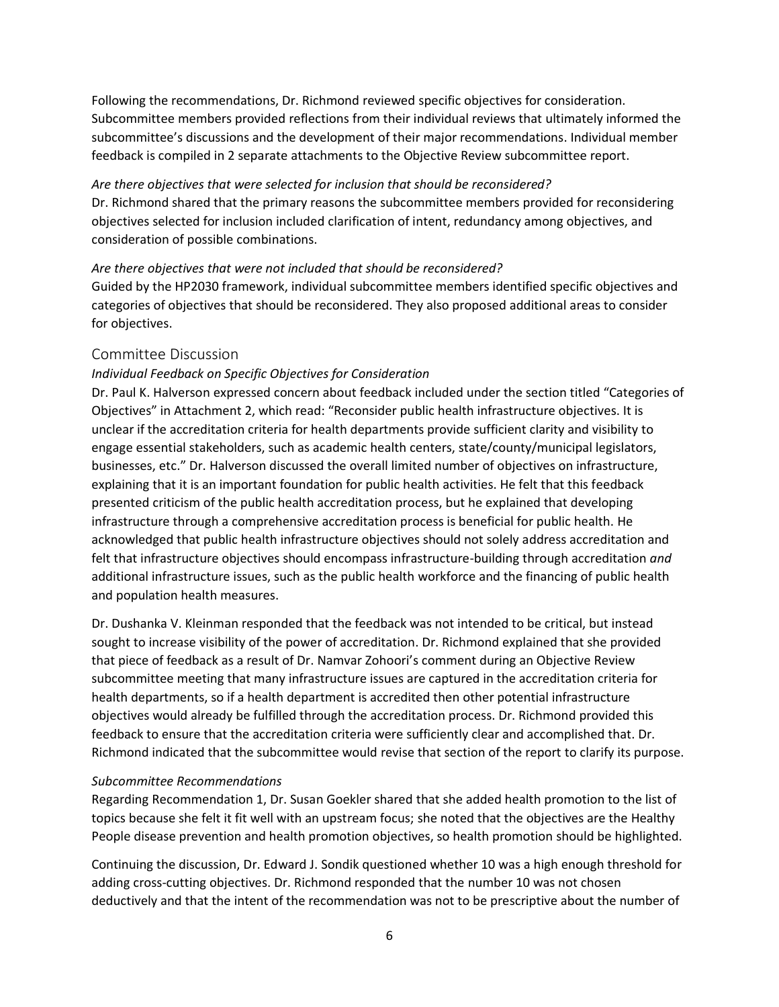Following the recommendations, Dr. Richmond reviewed specific objectives for consideration. Subcommittee members provided reflections from their individual reviews that ultimately informed the subcommittee's discussions and the development of their major recommendations. Individual member feedback is compiled in 2 separate attachments to the Objective Review subcommittee report.

#### *Are there objectives that were selected for inclusion that should be reconsidered?*

Dr. Richmond shared that the primary reasons the subcommittee members provided for reconsidering objectives selected for inclusion included clarification of intent, redundancy among objectives, and consideration of possible combinations.

#### *Are there objectives that were not included that should be reconsidered?*

Guided by the HP2030 framework, individual subcommittee members identified specific objectives and categories of objectives that should be reconsidered. They also proposed additional areas to consider for objectives.

# Committee Discussion

# *Individual Feedback on Specific Objectives for Consideration*

Dr. Paul K. Halverson expressed concern about feedback included under the section titled "Categories of Objectives" in Attachment 2, which read: "Reconsider public health infrastructure objectives. It is unclear if the accreditation criteria for health departments provide sufficient clarity and visibility to engage essential stakeholders, such as academic health centers, state/county/municipal legislators, businesses, etc." Dr. Halverson discussed the overall limited number of objectives on infrastructure, explaining that it is an important foundation for public health activities. He felt that this feedback presented criticism of the public health accreditation process, but he explained that developing infrastructure through a comprehensive accreditation process is beneficial for public health. He acknowledged that public health infrastructure objectives should not solely address accreditation and felt that infrastructure objectives should encompass infrastructure-building through accreditation *and*  additional infrastructure issues, such as the public health workforce and the financing of public health and population health measures.

Dr. Dushanka V. Kleinman responded that the feedback was not intended to be critical, but instead sought to increase visibility of the power of accreditation. Dr. Richmond explained that she provided that piece of feedback as a result of Dr. Namvar Zohoori's comment during an Objective Review subcommittee meeting that many infrastructure issues are captured in the accreditation criteria for health departments, so if a health department is accredited then other potential infrastructure objectives would already be fulfilled through the accreditation process. Dr. Richmond provided this feedback to ensure that the accreditation criteria were sufficiently clear and accomplished that. Dr. Richmond indicated that the subcommittee would revise that section of the report to clarify its purpose.

#### *Subcommittee Recommendations*

Regarding Recommendation 1, Dr. Susan Goekler shared that she added health promotion to the list of topics because she felt it fit well with an upstream focus; she noted that the objectives are the Healthy People disease prevention and health promotion objectives, so health promotion should be highlighted.

Continuing the discussion, Dr. Edward J. Sondik questioned whether 10 was a high enough threshold for adding cross-cutting objectives. Dr. Richmond responded that the number 10 was not chosen deductively and that the intent of the recommendation was not to be prescriptive about the number of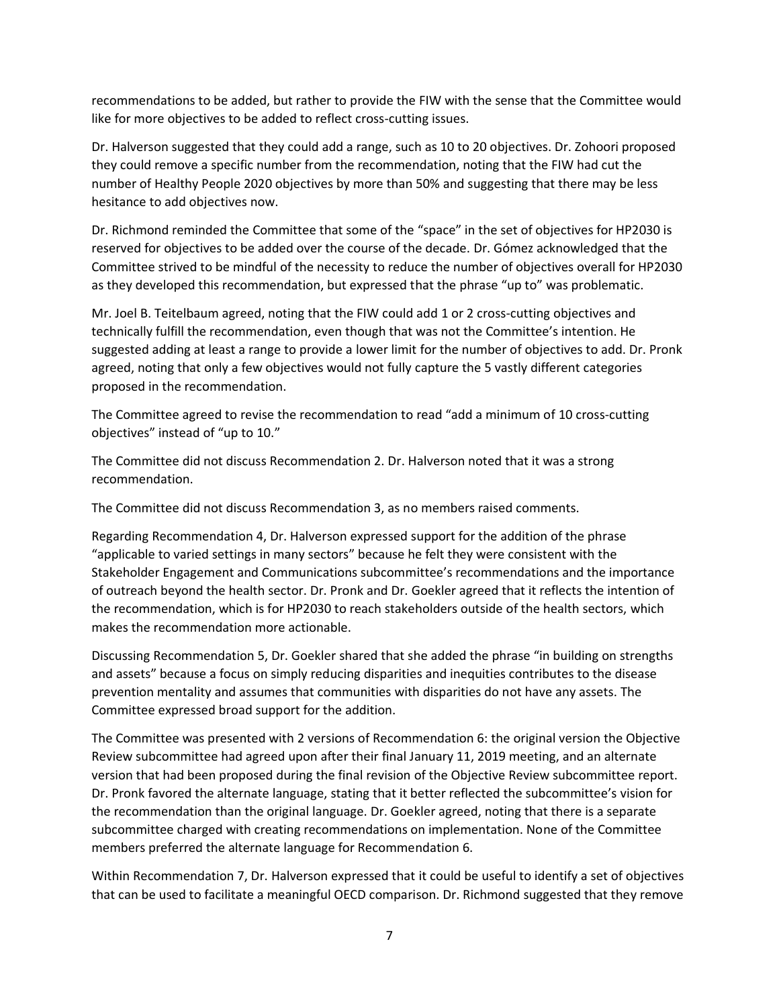recommendations to be added, but rather to provide the FIW with the sense that the Committee would like for more objectives to be added to reflect cross-cutting issues.

Dr. Halverson suggested that they could add a range, such as 10 to 20 objectives. Dr. Zohoori proposed they could remove a specific number from the recommendation, noting that the FIW had cut the number of Healthy People 2020 objectives by more than 50% and suggesting that there may be less hesitance to add objectives now.

Dr. Richmond reminded the Committee that some of the "space" in the set of objectives for HP2030 is reserved for objectives to be added over the course of the decade. Dr. Gómez acknowledged that the Committee strived to be mindful of the necessity to reduce the number of objectives overall for HP2030 as they developed this recommendation, but expressed that the phrase "up to" was problematic.

Mr. Joel B. Teitelbaum agreed, noting that the FIW could add 1 or 2 cross-cutting objectives and technically fulfill the recommendation, even though that was not the Committee's intention. He suggested adding at least a range to provide a lower limit for the number of objectives to add. Dr. Pronk agreed, noting that only a few objectives would not fully capture the 5 vastly different categories proposed in the recommendation.

The Committee agreed to revise the recommendation to read "add a minimum of 10 cross-cutting objectives" instead of "up to 10."

The Committee did not discuss Recommendation 2. Dr. Halverson noted that it was a strong recommendation.

The Committee did not discuss Recommendation 3, as no members raised comments.

Regarding Recommendation 4, Dr. Halverson expressed support for the addition of the phrase "applicable to varied settings in many sectors" because he felt they were consistent with the Stakeholder Engagement and Communications subcommittee's recommendations and the importance of outreach beyond the health sector. Dr. Pronk and Dr. Goekler agreed that it reflects the intention of the recommendation, which is for HP2030 to reach stakeholders outside of the health sectors, which makes the recommendation more actionable.

Discussing Recommendation 5, Dr. Goekler shared that she added the phrase "in building on strengths and assets" because a focus on simply reducing disparities and inequities contributes to the disease prevention mentality and assumes that communities with disparities do not have any assets. The Committee expressed broad support for the addition.

The Committee was presented with 2 versions of Recommendation 6: the original version the Objective Review subcommittee had agreed upon after their final January 11, 2019 meeting, and an alternate version that had been proposed during the final revision of the Objective Review subcommittee report. Dr. Pronk favored the alternate language, stating that it better reflected the subcommittee's vision for the recommendation than the original language. Dr. Goekler agreed, noting that there is a separate subcommittee charged with creating recommendations on implementation. None of the Committee members preferred the alternate language for Recommendation 6.

Within Recommendation 7, Dr. Halverson expressed that it could be useful to identify a set of objectives that can be used to facilitate a meaningful OECD comparison. Dr. Richmond suggested that they remove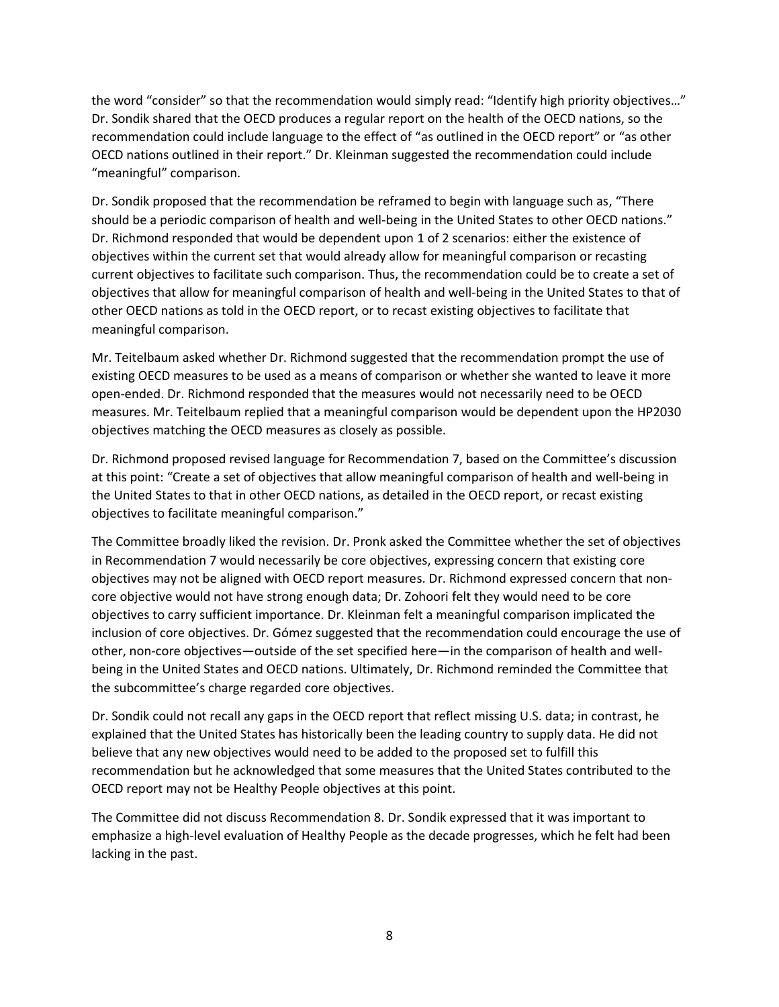the word "consider" so that the recommendation would simply read: "Identify high priority objectives…" Dr. Sondik shared that the OECD produces a regular report on the health of the OECD nations, so the recommendation could include language to the effect of "as outlined in the OECD report" or "as other OECD nations outlined in their report." Dr. Kleinman suggested the recommendation could include "meaningful" comparison.

Dr. Sondik proposed that the recommendation be reframed to begin with language such as, "There should be a periodic comparison of health and well-being in the United States to other OECD nations." Dr. Richmond responded that would be dependent upon 1 of 2 scenarios: either the existence of objectives within the current set that would already allow for meaningful comparison or recasting current objectives to facilitate such comparison. Thus, the recommendation could be to create a set of objectives that allow for meaningful comparison of health and well-being in the United States to that of other OECD nations as told in the OECD report, or to recast existing objectives to facilitate that meaningful comparison.

Mr. Teitelbaum asked whether Dr. Richmond suggested that the recommendation prompt the use of existing OECD measures to be used as a means of comparison or whether she wanted to leave it more open-ended. Dr. Richmond responded that the measures would not necessarily need to be OECD measures. Mr. Teitelbaum replied that a meaningful comparison would be dependent upon the HP2030 objectives matching the OECD measures as closely as possible.

Dr. Richmond proposed revised language for Recommendation 7, based on the Committee's discussion at this point: "Create a set of objectives that allow meaningful comparison of health and well-being in the United States to that in other OECD nations, as detailed in the OECD report, or recast existing objectives to facilitate meaningful comparison."

The Committee broadly liked the revision. Dr. Pronk asked the Committee whether the set of objectives in Recommendation 7 would necessarily be core objectives, expressing concern that existing core objectives may not be aligned with OECD report measures. Dr. Richmond expressed concern that noncore objective would not have strong enough data; Dr. Zohoori felt they would need to be core objectives to carry sufficient importance. Dr. Kleinman felt a meaningful comparison implicated the inclusion of core objectives. Dr. Gómez suggested that the recommendation could encourage the use of other, non-core objectives—outside of the set specified here—in the comparison of health and wellbeing in the United States and OECD nations. Ultimately, Dr. Richmond reminded the Committee that the subcommittee's charge regarded core objectives.

Dr. Sondik could not recall any gaps in the OECD report that reflect missing U.S. data; in contrast, he explained that the United States has historically been the leading country to supply data. He did not believe that any new objectives would need to be added to the proposed set to fulfill this recommendation but he acknowledged that some measures that the United States contributed to the OECD report may not be Healthy People objectives at this point.

The Committee did not discuss Recommendation 8. Dr. Sondik expressed that it was important to emphasize a high-level evaluation of Healthy People as the decade progresses, which he felt had been lacking in the past.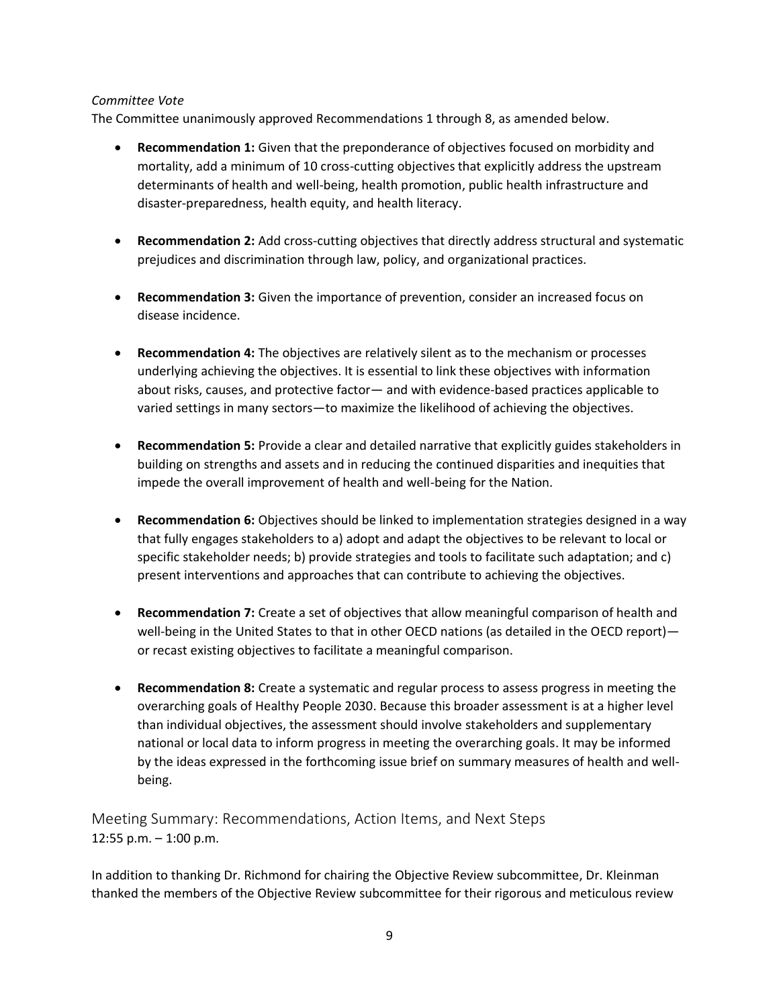# *Committee Vote*

The Committee unanimously approved Recommendations 1 through 8, as amended below.

- **Recommendation 1:** Given that the preponderance of objectives focused on morbidity and mortality, add a minimum of 10 cross-cutting objectives that explicitly address the upstream determinants of health and well-being, health promotion, public health infrastructure and disaster-preparedness, health equity, and health literacy.
- **Recommendation 2:** Add cross-cutting objectives that directly address structural and systematic prejudices and discrimination through law, policy, and organizational practices.
- **Recommendation 3:** Given the importance of prevention, consider an increased focus on disease incidence.
- **Recommendation 4:** The objectives are relatively silent as to the mechanism or processes underlying achieving the objectives. It is essential to link these objectives with information about risks, causes, and protective factor— and with evidence-based practices applicable to varied settings in many sectors—to maximize the likelihood of achieving the objectives.
- **Recommendation 5:** Provide a clear and detailed narrative that explicitly guides stakeholders in building on strengths and assets and in reducing the continued disparities and inequities that impede the overall improvement of health and well-being for the Nation.
- **Recommendation 6:** Objectives should be linked to implementation strategies designed in a way that fully engages stakeholders to a) adopt and adapt the objectives to be relevant to local or specific stakeholder needs; b) provide strategies and tools to facilitate such adaptation; and c) present interventions and approaches that can contribute to achieving the objectives.
- **Recommendation 7:** Create a set of objectives that allow meaningful comparison of health and well-being in the United States to that in other OECD nations (as detailed in the OECD report) or recast existing objectives to facilitate a meaningful comparison.
- **Recommendation 8:** Create a systematic and regular process to assess progress in meeting the overarching goals of Healthy People 2030. Because this broader assessment is at a higher level than individual objectives, the assessment should involve stakeholders and supplementary national or local data to inform progress in meeting the overarching goals. It may be informed by the ideas expressed in the forthcoming issue brief on summary measures of health and wellbeing.

Meeting Summary: Recommendations, Action Items, and Next Steps 12:55 p.m. – 1:00 p.m.

In addition to thanking Dr. Richmond for chairing the Objective Review subcommittee, Dr. Kleinman thanked the members of the Objective Review subcommittee for their rigorous and meticulous review